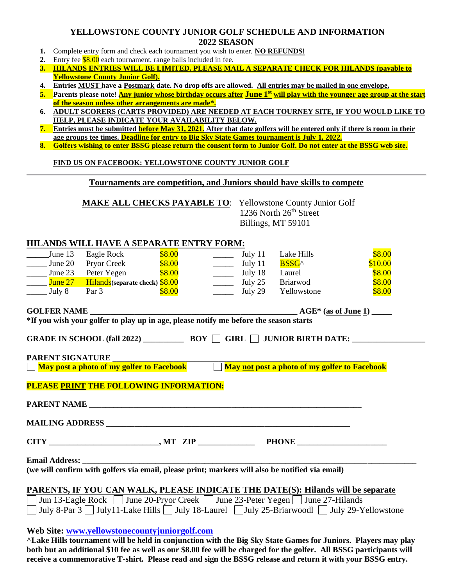## **YELLOWSTONE COUNTY JUNIOR GOLF SCHEDULE AND INFORMATION 2022 SEASON**

- **1.** Complete entry form and check each tournament you wish to enter. **NO REFUNDS!**
- **2.** Entry fee \$8.00 each tournament, range balls included in fee.
- **3. HILANDS ENTRIES WILL BE LIMITED. PLEASE MAIL A SEPARATE CHECK FOR HILANDS (payable to Yellowstone County Junior Golf).**
- **4. Entries MUST have a Postmark date. No drop offs are allowed. All entries may be mailed in one envelope.**
- **5. Parents please note! Any junior whose birthday occurs after June 1st will play with the younger age group at the start of the season unless other arrangements are made\*.**
- **6. ADULT SCORERS (CARTS PROVIDED) ARE NEEDED AT EACH TOURNEY SITE, IF YOU WOULD LIKE TO HELP, PLEASE INDICATE YOUR AVAILABILITY BELOW.**
- **7. Entries must be submitted before May 31, 2021. After that date golfers will be entered only if there is room in their age groups tee times. Deadline for entry to Big Sky State Games tournament is July 1, 2022.**
- **8. Golfers wishing to enter BSSG please return the consent form to Junior Golf. Do not enter at the BSSG web site.**

#### **FIND US ON FACEBOOK: YELLOWSTONE COUNTY JUNIOR GOLF**

#### **Tournaments are competition, and Juniors should have skills to compete**

**MAKE ALL CHECKS PAYABLE TO**: Yellowstone County Junior Golf

1236 North 26<sup>th</sup> Street Billings, MT 59101

### **HILANDS WILL HAVE A SEPARATE ENTRY FORM:**

| June 13                                                                                         | Eagle Rock                                                                            | \$8.00 |  | July 11                                   | Lake Hills  | \$8.00  |  |
|-------------------------------------------------------------------------------------------------|---------------------------------------------------------------------------------------|--------|--|-------------------------------------------|-------------|---------|--|
| June 20                                                                                         | <b>Pryor Creek</b>                                                                    | \$8.00 |  | $\frac{1}{\sqrt{1-\frac{1}{2}}}$ July 11  | BSSG^       | \$10.00 |  |
| $\frac{\text{June } 23}{}$                                                                      | Peter Yegen                                                                           | \$8.00 |  | $\frac{1}{2}$ July 18                     | Laurel      | \$8.00  |  |
| $\frac{\text{June } 27}{\text{June } 27}$                                                       | Hilands (separate check) \$8.00                                                       |        |  | $\frac{\phantom{0}}{\phantom{0}}$ July 25 | Briarwod    | \$8.00  |  |
| $\frac{\text{July } 8}{\text{July } 8}$                                                         | Par 3                                                                                 | \$8.00 |  | July 29                                   | Yellowstone | \$8.00  |  |
| <b>AGE*</b> (as of June 1) _____                                                                |                                                                                       |        |  |                                           |             |         |  |
|                                                                                                 |                                                                                       |        |  |                                           |             |         |  |
|                                                                                                 |                                                                                       |        |  |                                           |             |         |  |
|                                                                                                 |                                                                                       |        |  |                                           |             |         |  |
|                                                                                                 |                                                                                       |        |  |                                           |             |         |  |
|                                                                                                 |                                                                                       |        |  |                                           |             |         |  |
|                                                                                                 |                                                                                       |        |  |                                           |             |         |  |
| PLEASE PRINT THE FOLLOWING INFORMATION:                                                         |                                                                                       |        |  |                                           |             |         |  |
|                                                                                                 |                                                                                       |        |  |                                           |             |         |  |
|                                                                                                 |                                                                                       |        |  |                                           |             |         |  |
|                                                                                                 |                                                                                       |        |  |                                           |             |         |  |
|                                                                                                 |                                                                                       |        |  |                                           |             |         |  |
|                                                                                                 |                                                                                       |        |  |                                           |             |         |  |
| <b>Email Address:</b>                                                                           |                                                                                       |        |  |                                           |             |         |  |
| (we will confirm with golfers via email, please print; markers will also be notified via email) |                                                                                       |        |  |                                           |             |         |  |
|                                                                                                 |                                                                                       |        |  |                                           |             |         |  |
|                                                                                                 | PARENTS, IF YOU CAN WALK, PLEASE INDICATE THE DATE(S): Hilands will be separate       |        |  |                                           |             |         |  |
| Jun 13-Eagle Rock June 20-Pryor Creek June 23-Peter Yegen June 27-Hilands<br>$\mathbf{L}$       |                                                                                       |        |  |                                           |             |         |  |
|                                                                                                 | July 8-Par 3 July 11-Lake Hills July 18-Laurel July 25-Briarwoodl July 29-Yellowstone |        |  |                                           |             |         |  |
|                                                                                                 |                                                                                       |        |  |                                           |             |         |  |
|                                                                                                 | Web Site: www.yellowstonecountyjuniorgolf.com                                         |        |  |                                           |             |         |  |

**^Lake Hills tournament will be held in conjunction with the Big Sky State Games for Juniors. Players may play both but an additional \$10 fee as well as our \$8.00 fee will be charged for the golfer. All BSSG participants will receive a commemorative T-shirt. Please read and sign the BSSG release and return it with your BSSG entry.**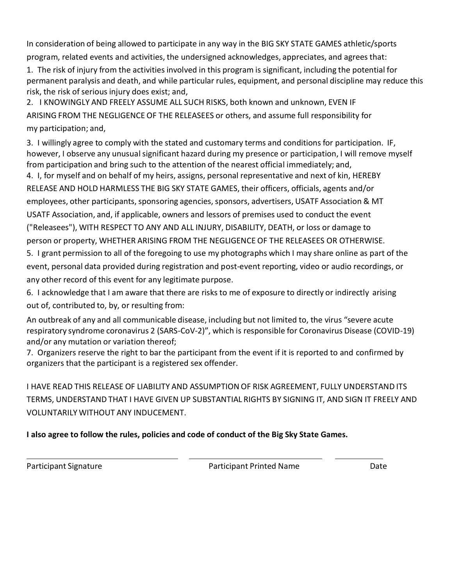In consideration of being allowed to participate in any way in the BIG SKY STATE GAMES athletic/sports program, related events and activities, the undersigned acknowledges, appreciates, and agrees that:

1. The risk of injury from the activities involved in this program is significant, including the potential for permanent paralysis and death, and while particular rules, equipment, and personal discipline may reduce this risk, the risk of serious injury does exist; and,

2. I KNOWINGLY AND FREELY ASSUME ALL SUCH RISKS, both known and unknown, EVEN IF ARISING FROM THE NEGLIGENCE OF THE RELEASEES or others, and assume full responsibility for my participation; and,

3. I willingly agree to comply with the stated and customary terms and conditions for participation. IF, however, I observe any unusual significant hazard during my presence or participation, I will remove myself from participation and bring such to the attention of the nearest official immediately; and,

4. I, for myself and on behalf of my heirs, assigns, personal representative and next of kin, HEREBY RELEASE AND HOLD HARMLESS THE BIG SKY STATE GAMES, their officers, officials, agents and/or employees, other participants, sponsoring agencies, sponsors, advertisers, USATF Association & MT USATF Association, and, if applicable, owners and lessors of premises used to conduct the event ("Releasees"), WITH RESPECT TO ANY AND ALL INJURY, DISABILITY, DEATH, or loss or damage to person or property, WHETHER ARISING FROM THE NEGLIGENCE OF THE RELEASEES OR OTHERWISE.

5. I grant permission to all of the foregoing to use my photographs which I may share online as part of the event, personal data provided during registration and post-event reporting, video or audio recordings, or any other record of this event for any legitimate purpose.

6. I acknowledge that I am aware that there are risks to me of exposure to directly or indirectly arising out of, contributed to, by, or resulting from:

An outbreak of any and all communicable disease, including but not limited to, the virus "severe acute respiratory syndrome coronavirus 2 (SARS-CoV-2)", which is responsible for Coronavirus Disease (COVID-19) and/or any mutation or variation thereof;

7. Organizers reserve the right to bar the participant from the event if it is reported to and confirmed by organizers that the participant is a registered sex offender.

I HAVE READ THIS RELEASE OF LIABILITY AND ASSUMPTION OF RISK AGREEMENT, FULLY UNDERSTAND ITS TERMS, UNDERSTAND THAT I HAVE GIVEN UP SUBSTANTIAL RIGHTS BY SIGNING IT, AND SIGN IT FREELY AND VOLUNTARILY WITHOUT ANY INDUCEMENT.

# **I also agree to follow the rules, policies and code of conduct of the Big Sky State Games.**

Participant Signature **Participant Printed Name** Date Date